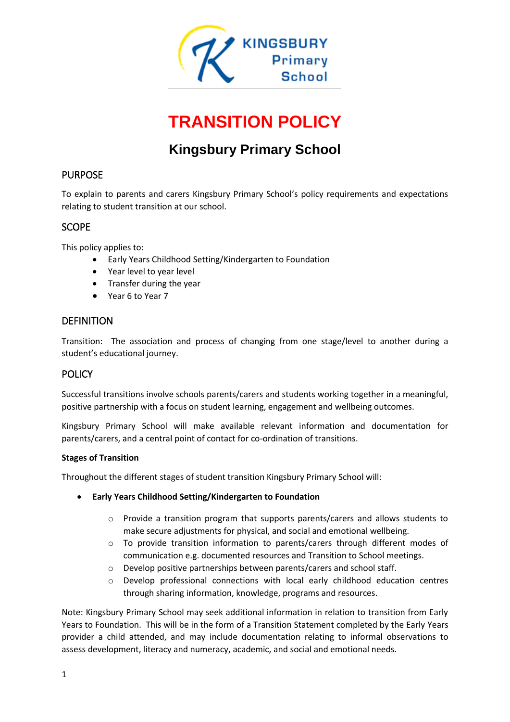

# **TRANSITION POLICY**

# **Kingsbury Primary School**

# PURPOSE

To explain to parents and carers Kingsbury Primary School's policy requirements and expectations relating to student transition at our school.

# **SCOPE**

This policy applies to:

- Early Years Childhood Setting/Kindergarten to Foundation
- Year level to year level
- Transfer during the year
- Year 6 to Year 7

# **DEFINITION**

Transition: The association and process of changing from one stage/level to another during a student's educational journey.

# POLICY

Successful transitions involve schools parents/carers and students working together in a meaningful, positive partnership with a focus on student learning, engagement and wellbeing outcomes.

Kingsbury Primary School will make available relevant information and documentation for parents/carers, and a central point of contact for co-ordination of transitions.

#### **Stages of Transition**

Throughout the different stages of student transition Kingsbury Primary School will:

- **Early Years Childhood Setting/Kindergarten to Foundation**
	- o Provide a transition program that supports parents/carers and allows students to make secure adjustments for physical, and social and emotional wellbeing.
	- o To provide transition information to parents/carers through different modes of communication e.g. documented resources and Transition to School meetings.
	- o Develop positive partnerships between parents/carers and school staff.
	- o Develop professional connections with local early childhood education centres through sharing information, knowledge, programs and resources.

Note: Kingsbury Primary School may seek additional information in relation to transition from Early Years to Foundation. This will be in the form of a Transition Statement completed by the Early Years provider a child attended, and may include documentation relating to informal observations to assess development, literacy and numeracy, academic, and social and emotional needs.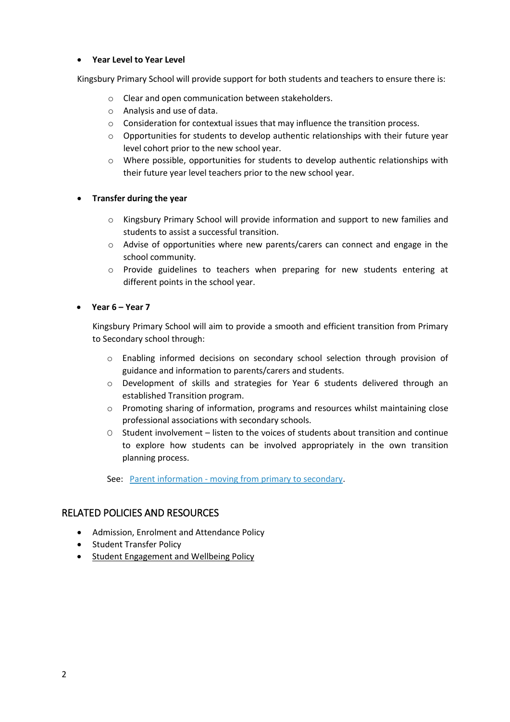#### **Year Level to Year Level**

Kingsbury Primary School will provide support for both students and teachers to ensure there is:

- o Clear and open communication between stakeholders.
- o Analysis and use of data.
- o Consideration for contextual issues that may influence the transition process.
- o Opportunities for students to develop authentic relationships with their future year level cohort prior to the new school year.
- o Where possible, opportunities for students to develop authentic relationships with their future year level teachers prior to the new school year.

#### **Transfer during the year**

- o Kingsbury Primary School will provide information and support to new families and students to assist a successful transition.
- o Advise of opportunities where new parents/carers can connect and engage in the school community.
- o Provide guidelines to teachers when preparing for new students entering at different points in the school year.

#### **Year 6 – Year 7**

Kingsbury Primary School will aim to provide a smooth and efficient transition from Primary to Secondary school through:

- o Enabling informed decisions on secondary school selection through provision of guidance and information to parents/carers and students.
- o Development of skills and strategies for Year 6 students delivered through an established Transition program.
- $\circ$  Promoting sharing of information, programs and resources whilst maintaining close professional associations with secondary schools.
- O Student involvement listen to the voices of students about transition and continue to explore how students can be involved appropriately in the own transition planning process.

See: Parent information - [moving from primary to secondary.](https://www.education.vic.gov.au/parents/going-to-school/Pages/year-6-to-7.aspx)

# RELATED POLICIES AND RESOURCES

- Admission, Enrolment and Attendance Policy
- Student Transfer Policy
- [Student Engagement and Wellbeing Policy](file://///10.151.230.46/staff/christinecampbell/Kingsbury%20Primary%20School/School%20Review/2020%20School%20Review/2020%20VRQA%20updated%20policies/2020%20Student%20ENGAGEMENT%20AND%20WELLBEING-%20Complete.docx)